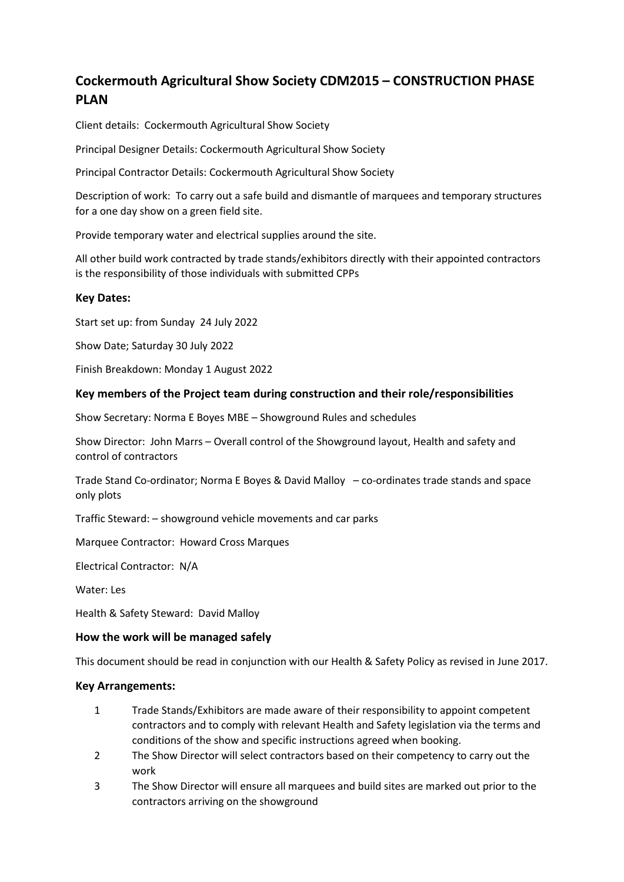# **Cockermouth Agricultural Show Society CDM2015 – CONSTRUCTION PHASE PLAN**

Client details: Cockermouth Agricultural Show Society

Principal Designer Details: Cockermouth Agricultural Show Society

Principal Contractor Details: Cockermouth Agricultural Show Society

Description of work: To carry out a safe build and dismantle of marquees and temporary structures for a one day show on a green field site.

Provide temporary water and electrical supplies around the site.

All other build work contracted by trade stands/exhibitors directly with their appointed contractors is the responsibility of those individuals with submitted CPPs

## **Key Dates:**

Start set up: from Sunday 24 July 2022

Show Date; Saturday 30 July 2022

Finish Breakdown: Monday 1 August 2022

## **Key members of the Project team during construction and their role/responsibilities**

Show Secretary: Norma E Boyes MBE – Showground Rules and schedules

Show Director: John Marrs – Overall control of the Showground layout, Health and safety and control of contractors

Trade Stand Co-ordinator; Norma E Boyes & David Malloy – co-ordinates trade stands and space only plots

Traffic Steward: – showground vehicle movements and car parks

Marquee Contractor: Howard Cross Marques

Electrical Contractor: N/A

Water: Les

Health & Safety Steward: David Malloy

#### **How the work will be managed safely**

This document should be read in conjunction with our Health & Safety Policy as revised in June 2017.

#### **Key Arrangements:**

- 1 Trade Stands/Exhibitors are made aware of their responsibility to appoint competent contractors and to comply with relevant Health and Safety legislation via the terms and conditions of the show and specific instructions agreed when booking.
- 2 The Show Director will select contractors based on their competency to carry out the work
- 3 The Show Director will ensure all marquees and build sites are marked out prior to the contractors arriving on the showground